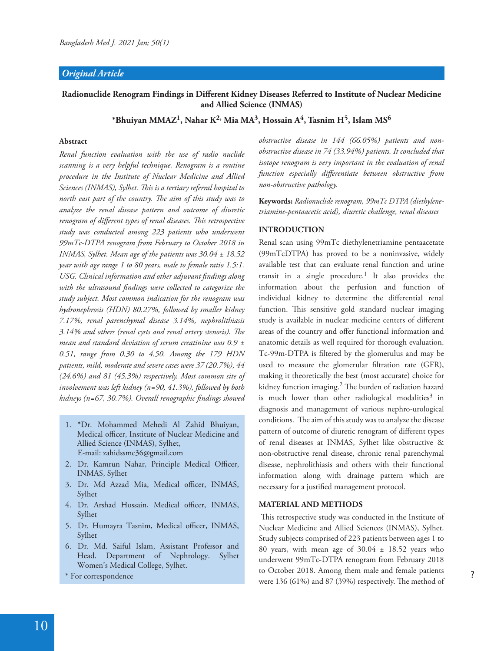# *Original Article*

# Radionuclide Renogram Findings in Different Kidney Diseases Referred to Institute of Nuclear Medicine **and Allied Science (INMAS)**

**\*Bhuiyan MMAZ<sup>1</sup> , Nahar K2, Mia MA<sup>3</sup> , Hossain A<sup>4</sup> , Tasnim H<sup>5</sup> , Islam MS<sup>6</sup>**

# **Abstract**

*Renal function evaluation with the use of radio nuclide scanning is a very helpful technique. Renogram is a routine procedure in the Institute of Nuclear Medicine and Allied*  Sciences (INMAS), Sylhet. This is a tertiary referral hospital to *north east part of the country. The aim of this study was to analyze the renal disease pattern and outcome of diuretic renogram of different types of renal diseases. This retrospective study was conducted among 223 patients who underwent 99mTc-DTPA renogram from February to October 2018 in INMAS, Sylhet. Mean age of the patients was 30.04 ± 18.52 year with age range 1 to 80 years, male to female ratio 1.5:1. USG. Clinical information and other adjuvant \$ndings along*  with the ultrasound findings were collected to categorize the *study subject. Most common indication for the renogram was hydronephrosis (HDN) 80.27%, followed by smaller kidney 7.17%, renal parenchymal disease 3.14%, nephrolithiasis*  3.14% and others (renal cysts and renal artery stenosis). The *mean and standard deviation of serum creatinine was 0.9 ± 0.51, range from 0.30 to 4.50. Among the 179 HDN patients, mild, moderate and severe cases were 37 (20.7%), 44 (24.6%) and 81 (45.3%) respectively. Most common site of involvement was left kidney (n=90, 41.3%), followed by both kidneys (n=67, 30.7%). Overall renographic \$ndings showed* 

- 1. \*Dr. Mohammed Mehedi Al Zahid Bhuiyan, Medical officer, Institute of Nuclear Medicine and Allied Science (INMAS), Sylhet, E-mail: zahidssmc36@gmail.com
- 2. Dr. Kamrun Nahar, Principle Medical Officer, INMAS, Sylhet
- 3. Dr. Md Azzad Mia, Medical officer, INMAS, Sylhet
- 4. Dr. Arshad Hossain, Medical officer, INMAS, Sylhet
- 5. Dr. Humayra Tasnim, Medical officer, INMAS, Sylhet
- 6. Dr. Md. Saiful Islam, Assistant Professor and Head. Department of Nephrology. Sylhet Women's Medical College, Sylhet.
- \* For correspondence

*obstructive disease in 144 (66.05%) patients and nonobstructive disease in 74 (33.94%) patients. It concluded that isotope renogram is very important in the evaluation of renal*  function especially differentiate between obstructive from *non-obstructive pathology.* 

**Keywords:** *Radionuclide renogram, 99mTc DTPA (diethylenetriamine-pentaacetic acid), diuretic challenge, renal diseases*

## **INTRODUCTION**

Renal scan using 99mTc diethylenetriamine pentaacetate (99mTcDTPA) has proved to be a noninvasive, widely available test that can evaluate renal function and urine transit in a single procedure.<sup>1</sup> It also provides the information about the perfusion and function of individual kidney to determine the differential renal function. This sensitive gold standard nuclear imaging study is available in nuclear medicine centers of different areas of the country and offer functional information and anatomic details as well required for thorough evaluation. Tc-99m-DTPA is filtered by the glomerulus and may be used to measure the glomerular filtration rate (GFR), making it theoretically the best (most accurate) choice for kidney function imaging.<sup>2</sup> The burden of radiation hazard is much lower than other radiological modalities<sup>3</sup> in diagnosis and management of various nephro-urological conditions. The aim of this study was to analyze the disease pattern of outcome of diuretic renogram of different types of renal diseases at INMAS, Sylhet like obstructive & non-obstructive renal disease, chronic renal parenchymal disease, nephrolithiasis and others with their functional information along with drainage pattern which are necessary for a justified management protocol.

#### **MATERIAL AND METHODS**

This retrospective study was conducted in the Institute of Nuclear Medicine and Allied Sciences (INMAS), Sylhet. Study subjects comprised of 223 patients between ages 1 to 80 years, with mean age of 30.04 ± 18.52 years who underwent 99mTc-DTPA renogram from February 2018 to October 2018. Among them male and female patients were  $136$  (61%) and 87 (39%) respectively. The method of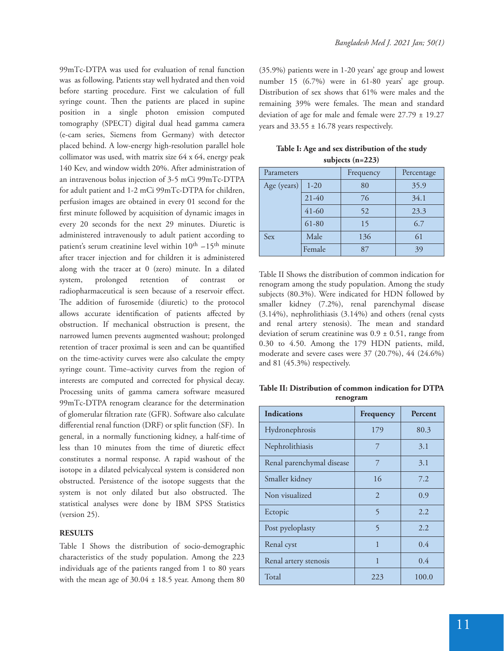99mTc-DTPA was used for evaluation of renal function was as following. Patients stay well hydrated and then void before starting procedure. First we calculation of full syringe count. Then the patients are placed in supine position in a single photon emission computed tomography (SPECT) digital dual head gamma camera (e-cam series, Siemens from Germany) with detector placed behind. A low-energy high-resolution parallel hole collimator was used, with matrix size 64 x 64, energy peak 140 Kev, and window width 20%. After administration of an intravenous bolus injection of 3-5 mCi 99mTc-DTPA for adult patient and 1-2 mCi 99mTc-DTPA for children, perfusion images are obtained in every 01 second for the first minute followed by acquisition of dynamic images in every 20 seconds for the next 29 minutes. Diuretic is administered intravenously to adult patient according to patient's serum creatinine level within  $10^{th} - 15^{th}$  minute after tracer injection and for children it is administered along with the tracer at 0 (zero) minute. In a dilated system, prolonged retention of contrast or radiopharmaceutical is seen because of a reservoir effect. The addition of furosemide (diuretic) to the protocol allows accurate identification of patients affected by obstruction. If mechanical obstruction is present, the narrowed lumen prevents augmented washout; prolonged retention of tracer proximal is seen and can be quantified on the time-activity curves were also calculate the empty syringe count. Time–activity curves from the region of interests are computed and corrected for physical decay. Processing units of gamma camera software measured 99mTc-DTPA renogram clearance for the determination of glomerular filtration rate (GFR). Software also calculate differential renal function (DRF) or split function (SF). In general, in a normally functioning kidney, a half-time of less than 10 minutes from the time of diuretic effect constitutes a normal response. A rapid washout of the isotope in a dilated pelvicalyceal system is considered non obstructed. Persistence of the isotope suggests that the system is not only dilated but also obstructed. The statistical analyses were done by IBM SPSS Statistics (version 25).

# **RESULTS**

Table I Shows the distribution of socio-demographic characteristics of the study population. Among the 223 individuals age of the patients ranged from 1 to 80 years with the mean age of  $30.04 \pm 18.5$  year. Among them 80 (35.9%) patients were in 1-20 years' age group and lowest number 15 (6.7%) were in 61-80 years' age group. Distribution of sex shows that 61% were males and the remaining 39% were females. The mean and standard deviation of age for male and female were  $27.79 \pm 19.27$ years and  $33.55 \pm 16.78$  years respectively.

| Table I: Age and sex distribution of the study |
|------------------------------------------------|
| subjects $(n=223)$                             |

| Parameters  |           | Frequency | Percentage |  |
|-------------|-----------|-----------|------------|--|
| Age (years) | $1-20$    | 80        | 35.9       |  |
|             | $21-40$   | 76        | 34.1       |  |
|             | $41 - 60$ | 52        | 23.3       |  |
|             | $61 - 80$ | 15        | 6.7        |  |
| Sex         | Male      | 136       | 61         |  |
|             | Female    | 87        | 39         |  |

Table II Shows the distribution of common indication for renogram among the study population. Among the study subjects (80.3%). Were indicated for HDN followed by smaller kidney (7.2%), renal parenchymal disease (3.14%), nephrolithiasis (3.14%) and others (renal cysts and renal artery stenosis). The mean and standard deviation of serum creatinine was  $0.9 \pm 0.51$ , range from 0.30 to 4.50. Among the 179 HDN patients, mild, moderate and severe cases were 37 (20.7%), 44 (24.6%) and 81 (45.3%) respectively.

**Table II: Distribution of common indication for DTPA renogram** 

| <b>Indications</b>        | Frequency      | Percent |  |
|---------------------------|----------------|---------|--|
| Hydronephrosis            | 179            | 80.3    |  |
| Nephrolithiasis           | 7              | 3.1     |  |
| Renal parenchymal disease | 7              | 3.1     |  |
| Smaller kidney            | 16             | 7.2     |  |
| Non visualized            | $\mathcal{L}$  | 0.9     |  |
| Ectopic                   | $\overline{5}$ | 2.2     |  |
| Post pyeloplasty          | $\overline{5}$ | 2.2     |  |
| Renal cyst                | 1              | 0.4     |  |
| Renal artery stenosis     | 1              | 0.4     |  |
| Total                     | 223            | 100.0   |  |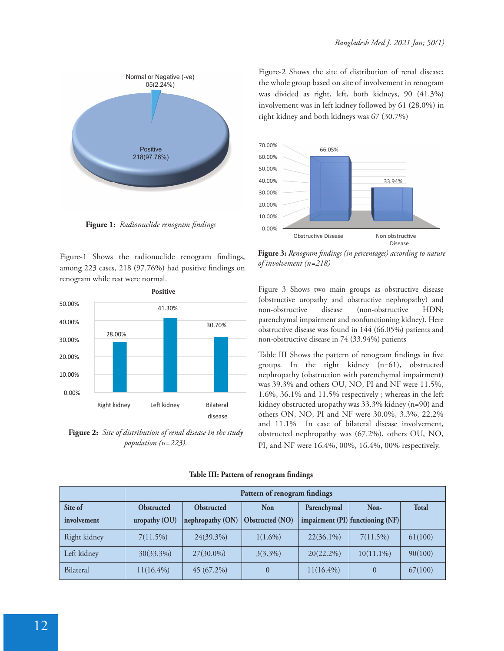

**Figure 1:** *Radionuclide renogram !ndings*

Figure-1 Shows the radionuclide renogram findings, among 223 cases, 218 (97.76%) had positive findings on renogram while rest were normal.



**Figure 2:** *Site of distribution of renal disease in the study population (n=223).* 

Figure-2 Shows the site of distribution of renal disease; the whole group based on site of involvement in renogram was divided as right, left, both kidneys, 90 (41.3%) involvement was in left kidney followed by 61 (28.0%) in right kidney and both kidneys was 67 (30.7%)



**Figure 3:** Renogram findings (in percentages) according to nature *of involvement (n=218)* 

Figure 3 Shows two main groups as obstructive disease (obstructive uropathy and obstructive nephropathy) and non-obstructive disease (non-obstructive HDN; parenchymal impairment and nonfunctioning kidney). Here obstructive disease was found in 144 (66.05%) patients and non-obstructive disease in 74 (33.94%) patients

Table III Shows the pattern of renogram findings in five groups. In the right kidney (n=61), obstructed nephropathy (obstruction with parenchymal impairment) was 39.3% and others OU, NO, PI and NF were 11.5%, 1.6%, 36.1% and 11.5% respectively ; whereas in the left kidney obstructed uropathy was 33.3% kidney (n=90) and others ON, NO, PI and NF were 30.0%, 3.3%, 22.2% and 11.1% In case of bilateral disease involvement, obstructed nephropathy was (67.2%), others OU, NO, PI, and NF were 16.4%, 00%, 16.4%, 00% respectively.

|              | Pattern of renogram findings |                   |                        |              |                                  |              |
|--------------|------------------------------|-------------------|------------------------|--------------|----------------------------------|--------------|
| Site of      | <b>Obstructed</b>            | <b>Obstructed</b> | <b>Non</b>             | Parenchymal  | Non-                             | <b>Total</b> |
| involvement  | uropathy (OU)                | nephropathy (ON)  | <b>Obstructed</b> (NO) |              | impairment (PI) functioning (NF) |              |
| Right kidney | 7(11.5%)                     | 24(39.3%)         | $1(1.6\%)$             | $22(36.1\%)$ | 7(11.5%)                         | 61(100)      |
| Left kidney  | 30(33.3%)                    | 27(30.0%)         | $3(3.3\%)$             | $20(22.2\%)$ | $10(11.1\%)$                     | 90(100)      |
| Bilateral    | $11(16.4\%)$                 | $45(67.2\%)$      | $\overline{0}$         | $11(16.4\%)$ |                                  | 67(100)      |

Table III: Pattern of renogram findings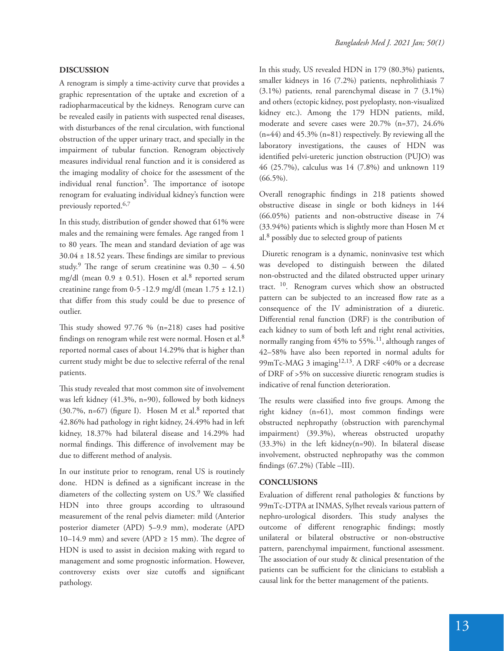## **DISCUSSION**

A renogram is simply a time-activity curve that provides a graphic representation of the uptake and excretion of a radiopharmaceutical by the kidneys. Renogram curve can be revealed easily in patients with suspected renal diseases, with disturbances of the renal circulation, with functional obstruction of the upper urinary tract, and specially in the impairment of tubular function. Renogram objectively measures individual renal function and it is considered as the imaging modality of choice for the assessment of the individual renal function<sup>5</sup>. The importance of isotope renogram for evaluating individual kidney's function were previously reported.<sup>6,7</sup>

In this study, distribution of gender showed that 61% were males and the remaining were females. Age ranged from 1 to 80 years. The mean and standard deviation of age was  $30.04 \pm 18.52$  years. These findings are similar to previous study.<sup>9</sup> The range of serum creatinine was  $0.30 - 4.50$ mg/dl (mean  $0.9 \pm 0.51$ ). Hosen et al.<sup>8</sup> reported serum creatinine range from 0-5 -12.9 mg/dl (mean  $1.75 \pm 12.1$ ) that differ from this study could be due to presence of outlier.

This study showed  $97.76$  % (n=218) cases had positive findings on renogram while rest were normal. Hosen et al. $8$ reported normal cases of about 14.29% that is higher than current study might be due to selective referral of the renal patients.

This study revealed that most common site of involvement was left kidney (41.3%, n=90), followed by both kidneys  $(30.7\% , n=67)$  (figure I). Hosen M et al.<sup>8</sup> reported that 42.86% had pathology in right kidney, 24.49% had in left kidney, 18.37% had bilateral disease and 14.29% had normal findings. This difference of involvement may be due to different method of analysis.

In our institute prior to renogram, renal US is routinely done. HDN is defined as a significant increase in the diameters of the collecting system on US.<sup>9</sup> We classified HDN into three groups according to ultrasound measurement of the renal pelvis diameter: mild (Anterior posterior diameter (APD) 5–9.9 mm), moderate (APD 10–14.9 mm) and severe (APD  $\geq$  15 mm). The degree of HDN is used to assist in decision making with regard to management and some prognostic information. However, controversy exists over size cutoffs and significant pathology.

In this study, US revealed HDN in 179 (80.3%) patients, smaller kidneys in 16 (7.2%) patients, nephrolithiasis 7 (3.1%) patients, renal parenchymal disease in 7 (3.1%) and others (ectopic kidney, post pyeloplasty, non-visualized kidney etc.). Among the 179 HDN patients, mild, moderate and severe cases were 20.7% (n=37), 24.6%  $(n=44)$  and  $45.3\%$   $(n=81)$  respectively. By reviewing all the laboratory investigations, the causes of HDN was identified pelvi-ureteric junction obstruction (PUJO) was 46 (25.7%), calculus was 14 (7.8%) and unknown 119  $(66.5\%)$ .

Overall renographic findings in 218 patients showed obstructive disease in single or both kidneys in 144 (66.05%) patients and non-obstructive disease in 74 (33.94%) patients which is slightly more than Hosen M et al.<sup>8</sup> possibly due to selected group of patients

 Diuretic renogram is a dynamic, noninvasive test which was developed to distinguish between the dilated non-obstructed and the dilated obstructed upper urinary tract.<sup>10</sup>. Renogram curves which show an obstructed pattern can be subjected to an increased flow rate as a consequence of the IV administration of a diuretic. Differential renal function (DRF) is the contribution of each kidney to sum of both left and right renal activities, normally ranging from 45% to 55%.<sup>11</sup>, although ranges of 42–58% have also been reported in normal adults for 99mTc-MAG 3 imaging<sup>12,13</sup>. A DRF <40% or a decrease of DRF of >5% on successive diuretic renogram studies is indicative of renal function deterioration.

The results were classified into five groups. Among the right kidney (n=61), most common findings were obstructed nephropathy (obstruction with parenchymal impairment) (39.3%), whereas obstructed uropathy (33.3%) in the left kidney(n=90). In bilateral disease involvement, obstructed nephropathy was the common findings  $(67.2\%)$  (Table -III).

### **CONCLUSIONS**

Evaluation of different renal pathologies  $\&$  functions by 99mTc-DTPA at INMAS, Sylhet reveals various pattern of nephro-urological disorders. This study analyses the outcome of different renographic findings; mostly unilateral or bilateral obstructive or non-obstructive pattern, parenchymal impairment, functional assessment. The association of our study  $&$  clinical presentation of the patients can be sufficient for the clinicians to establish a causal link for the better management of the patients.